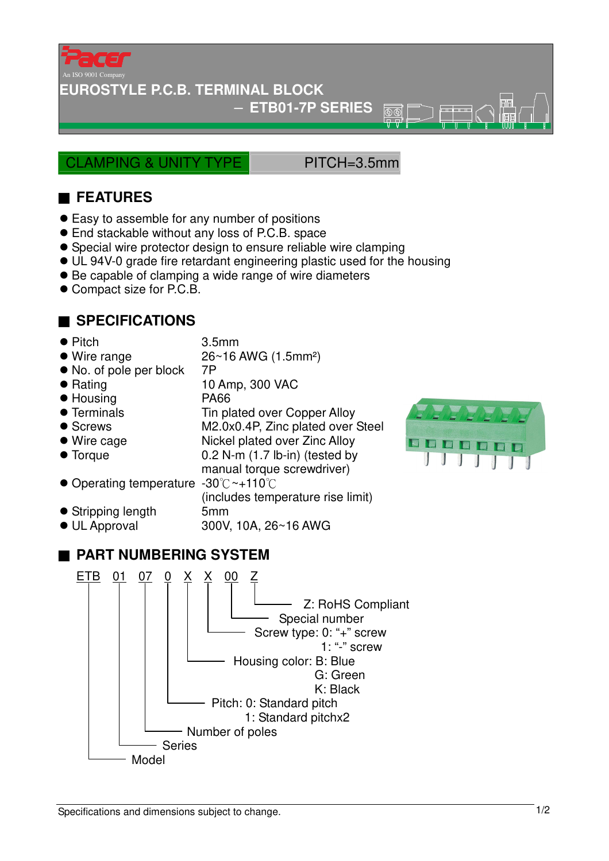

**EUROSTYLE P.C.B. TERMINAL BLOCK**

− **ETB01-7P SERIES** 

CLAMPING & UNITY TYPE PITCH=3.5mm

 $\overline{\textcircled{r}}$ ₩

## ■ **FEATURES**

- Easy to assemble for any number of positions
- End stackable without any loss of P.C.B. space
- Special wire protector design to ensure reliable wire clamping
- UL 94V-0 grade fire retardant engineering plastic used for the housing
- Be capable of clamping a wide range of wire diameters
- Compact size for P.C.B.

## ■ **SPECIFICATIONS**

- Pitch 3.5mm
- Wire range 26~16 AWG (1.5mm<sup>2</sup>)
- No. of pole per block 7P
- Rating 10 Amp, 300 VAC
- Housing PA66
- Terminals Tin plated over Copper Alloy
- Screws M2.0x0.4P, Zinc plated over Steel
- 
- 
- Wire cage Nickel plated over Zinc Alloy ● Torque 0.2 N-m (1.7 lb-in) (tested by
	- manual torque screwdriver)
- Operating temperature -30°C ~+110°C (includes temperature rise limit)
- Stripping length 5mm
- 
- UL Approval 300V, 10A, 26~16 AWG

## ■ **PART NUMBERING SYSTEM**